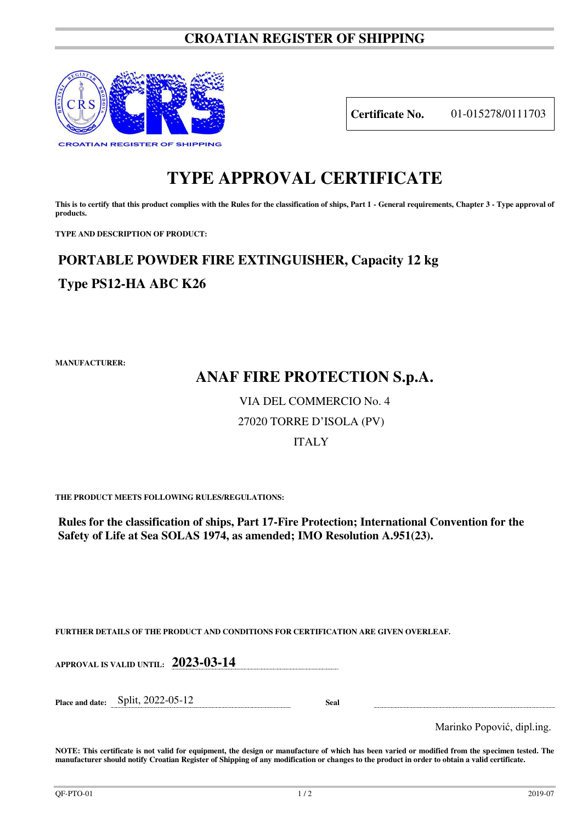### **CROATIAN REGISTER OF SHIPPING**



**Certificate No.** 01-015278/0111703

# **TYPE APPROVAL CERTIFICATE**

This is to certify that this product complies with the Rules for the classification of ships, Part 1 - General requirements, Chapter 3 - Type approval of **products.** 

**TYPE AND DESCRIPTION OF PRODUCT:** 

# **PORTABLE POWDER FIRE EXTINGUISHER, Capacity 12 kg Type PS12-HA ABC K26**

**MANUFACTURER:**

## **ANAF FIRE PROTECTION S.p.A.**

### VIA DEL COMMERCIO No. 4

### 27020 TORRE D'ISOLA (PV)

#### ITALY

**THE PRODUCT MEETS FOLLOWING RULES/REGULATIONS:**

**Rules for the classification of ships, Part 17-Fire Protection; International Convention for the Safety of Life at Sea SOLAS 1974, as amended; IMO Resolution A.951(23).**

**FURTHER DETAILS OF THE PRODUCT AND CONDITIONS FOR CERTIFICATION ARE GIVEN OVERLEAF.**

| <b>APPROVAL IS VALID UNTIL:</b> | $2023 - 03 - 1$ |
|---------------------------------|-----------------|
|---------------------------------|-----------------|

**Place and date:** Split, 2022-05-12 **Seal** 

Marinko Popović, dipl.ing.

**NOTE: This certificate is not valid for equipment, the design or manufacture of which has been varied or modified from the specimen tested. The manufacturer should notify Croatian Register of Shipping of any modification or changes to the product in order to obtain a valid certificate.**